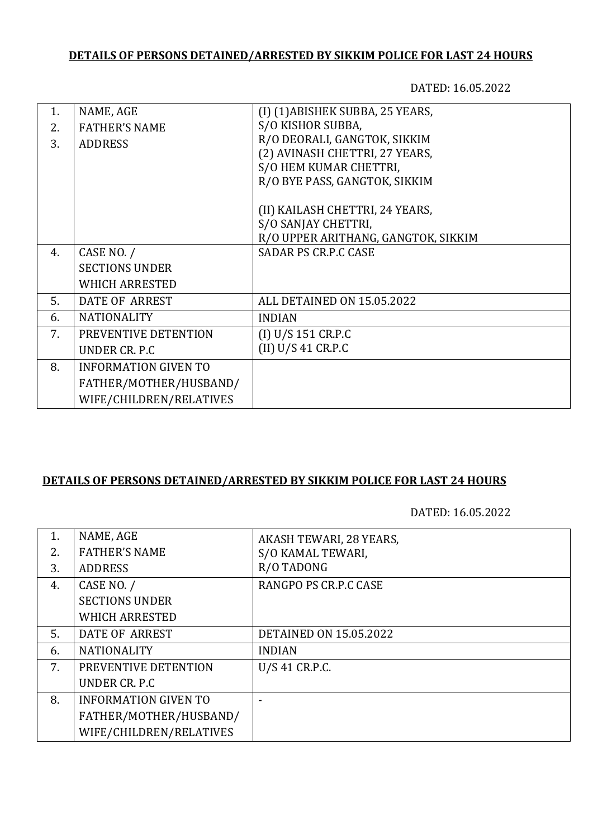## **DETAILS OF PERSONS DETAINED/ARRESTED BY SIKKIM POLICE FOR LAST 24 HOURS**

DATED: 16.05.2022

| 1. | NAME, AGE                   | (I) (1) ABISHEK SUBBA, 25 YEARS,    |
|----|-----------------------------|-------------------------------------|
| 2. | <b>FATHER'S NAME</b>        | S/O KISHOR SUBBA,                   |
| 3. | <b>ADDRESS</b>              | R/O DEORALI, GANGTOK, SIKKIM        |
|    |                             | (2) AVINASH CHETTRI, 27 YEARS,      |
|    |                             | S/O HEM KUMAR CHETTRI,              |
|    |                             | R/O BYE PASS, GANGTOK, SIKKIM       |
|    |                             |                                     |
|    |                             | (II) KAILASH CHETTRI, 24 YEARS,     |
|    |                             | S/O SANJAY CHETTRI,                 |
|    |                             | R/O UPPER ARITHANG, GANGTOK, SIKKIM |
| 4. | CASE NO. /                  | <b>SADAR PS CR.P.C CASE</b>         |
|    | <b>SECTIONS UNDER</b>       |                                     |
|    | <b>WHICH ARRESTED</b>       |                                     |
| 5. | DATE OF ARREST              | ALL DETAINED ON 15.05.2022          |
| 6. | <b>NATIONALITY</b>          | <b>INDIAN</b>                       |
| 7. | PREVENTIVE DETENTION        | (I) U/S 151 CR.P.C                  |
|    | UNDER CR. P.C               | (II) U/S 41 C R.P.C                 |
| 8. | <b>INFORMATION GIVEN TO</b> |                                     |
|    | FATHER/MOTHER/HUSBAND/      |                                     |
|    | WIFE/CHILDREN/RELATIVES     |                                     |

## **DETAILS OF PERSONS DETAINED/ARRESTED BY SIKKIM POLICE FOR LAST 24 HOURS**

## DATED: 16.05.2022

| 1. | NAME, AGE                   | AKASH TEWARI, 28 YEARS,       |
|----|-----------------------------|-------------------------------|
| 2. | <b>FATHER'S NAME</b>        | S/O KAMAL TEWARI,             |
| 3. | <b>ADDRESS</b>              | R/O TADONG                    |
| 4. | CASE NO. /                  | RANGPO PS CR.P.C CASE         |
|    | <b>SECTIONS UNDER</b>       |                               |
|    | <b>WHICH ARRESTED</b>       |                               |
| 5. | DATE OF ARREST              | <b>DETAINED ON 15.05.2022</b> |
| 6. | <b>NATIONALITY</b>          | <b>INDIAN</b>                 |
| 7. | PREVENTIVE DETENTION        | U/S 41 CR.P.C.                |
|    | UNDER CR. P.C.              |                               |
| 8. | <b>INFORMATION GIVEN TO</b> |                               |
|    | FATHER/MOTHER/HUSBAND/      |                               |
|    | WIFE/CHILDREN/RELATIVES     |                               |